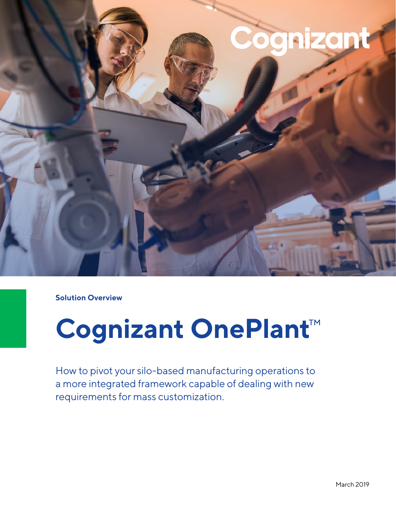

**Solution Overview**

# **Cognizant OnePlant**™

How to pivot your silo-based manufacturing operations to a more integrated framework capable of dealing with new requirements for mass customization.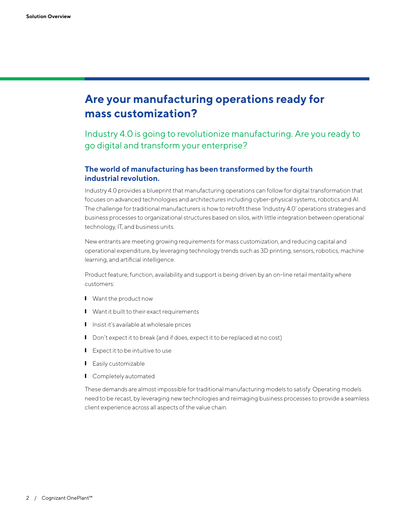## **Are your manufacturing operations ready for mass customization?**

Industry 4.0 is going to revolutionize manufacturing. Are you ready to go digital and transform your enterprise?

#### **The world of manufacturing has been transformed by the fourth industrial revolution.**

Industry 4.0 provides a blueprint that manufacturing operations can follow for digital transformation that focuses on advanced technologies and architectures including cyber-physical systems, robotics and AI. The challenge for traditional manufacturers is how to retrofit these 'Industry 4.0' operations strategies and business processes to organizational structures based on silos, with little integration between operational technology, IT, and business units.

New entrants are meeting growing requirements for mass customization, and reducing capital and operational expenditure, by leveraging technology trends such as 3D printing, sensors, robotics, machine learning, and artificial intelligence.

Product feature, function, availability and support is being driven by an on-line retail mentality where customers:

- ❙ Want the product now
- **I** Want it built to their exact requirements
- **I** Insist it's available at wholesale prices
- Don't expect it to break (and if does, expect it to be replaced at no cost)
- Expect it to be intuitive to use
- ❙ Easily customizable
- **I** Completely automated

These demands are almost impossible for traditional manufacturing models to satisfy. Operating models need to be recast, by leveraging new technologies and reimaging business processes to provide a seamless client experience across all aspects of the value chain.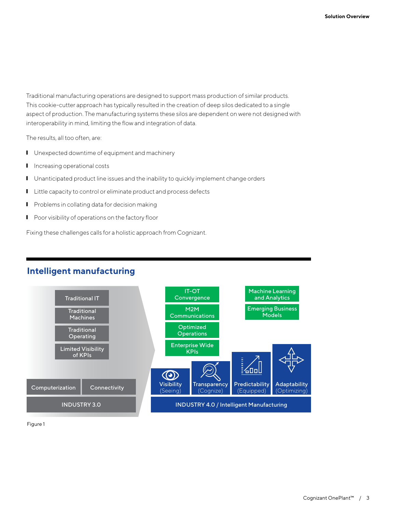Traditional manufacturing operations are designed to support mass production of similar products. This cookie-cutter approach has typically resulted in the creation of deep silos dedicated to a single aspect of production. The manufacturing systems these silos are dependent on were not designed with interoperability in mind, limiting the flow and integration of data.

The results, all too often, are:

- **I** Unexpected downtime of equipment and machinery
- **I** Increasing operational costs
- **I** Unanticipated product line issues and the inability to quickly implement change orders
- Little capacity to control or eliminate product and process defects
- Problems in collating data for decision making
- **I** Poor visibility of operations on the factory floor

Fixing these challenges calls for a holistic approach from Cognizant.

#### **Intelligent manufacturing**



Figure 1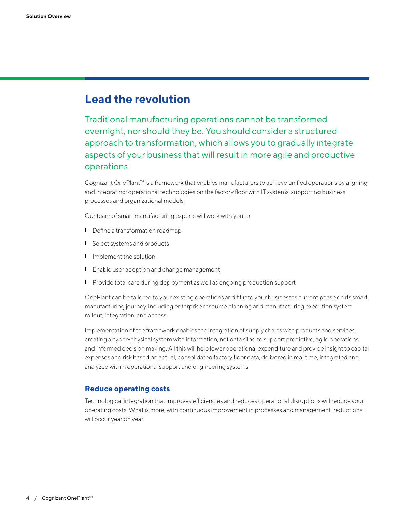### **Lead the revolution**

Traditional manufacturing operations cannot be transformed overnight, nor should they be. You should consider a structured approach to transformation, which allows you to gradually integrate aspects of your business that will result in more agile and productive operations.

Cognizant OnePlant™ is a framework that enables manufacturers to achieve unified operations by aligning and integrating: operational technologies on the factory floor with IT systems, supporting business processes and organizational models.

Our team of smart manufacturing experts will work with you to:

- **I** Define a transformation roadmap
- **I** Select systems and products
- **I** Implement the solution
- **I** Enable user adoption and change management
- **I** Provide total care during deployment as well as ongoing production support

OnePlant can be tailored to your existing operations and fit into your businesses current phase on its smart manufacturing journey, including enterprise resource planning and manufacturing execution system rollout, integration, and access.

Implementation of the framework enables the integration of supply chains with products and services, creating a cyber-physical system with information, not data silos, to support predictive, agile operations and informed decision making. All this will help lower operational expenditure and provide insight to capital expenses and risk based on actual, consolidated factory floor data, delivered in real time, integrated and analyzed within operational support and engineering systems.

#### **Reduce operating costs**

Technological integration that improves efficiencies and reduces operational disruptions will reduce your operating costs. What is more, with continuous improvement in processes and management, reductions will occur year on year.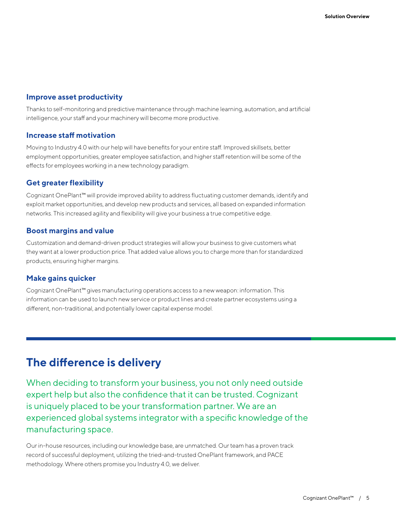#### **Improve asset productivity**

Thanks to self-monitoring and predictive maintenance through machine learning, automation, and artificial intelligence, your staff and your machinery will become more productive.

#### **Increase staff motivation**

Moving to Industry 4.0 with our help will have benefits for your entire staff. Improved skillsets, better employment opportunities, greater employee satisfaction, and higher staff retention will be some of the effects for employees working in a new technology paradigm.

#### **Get greater flexibility**

Cognizant OnePlant™ will provide improved ability to address fluctuating customer demands, identify and exploit market opportunities, and develop new products and services, all based on expanded information networks. This increased agility and flexibility will give your business a true competitive edge.

#### **Boost margins and value**

Customization and demand-driven product strategies will allow your business to give customers what they want at a lower production price. That added value allows you to charge more than for standardized products, ensuring higher margins.

#### **Make gains quicker**

Cognizant OnePlant™ gives manufacturing operations access to a new weapon: information. This information can be used to launch new service or product lines and create partner ecosystems using a different, non-traditional, and potentially lower capital expense model.

## **The difference is delivery**

When deciding to transform your business, you not only need outside expert help but also the confidence that it can be trusted. Cognizant is uniquely placed to be your transformation partner. We are an experienced global systems integrator with a specific knowledge of the manufacturing space.

Our in-house resources, including our knowledge base, are unmatched. Our team has a proven track record of successful deployment, utilizing the tried-and-trusted OnePlant framework, and PACE methodology. Where others promise you Industry 4.0, we deliver.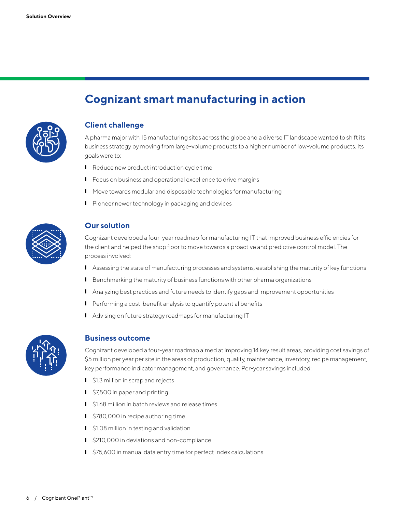

## **Cognizant smart manufacturing in action**

#### **Client challenge**

A pharma major with 15 manufacturing sites across the globe and a diverse IT landscape wanted to shift its business strategy by moving from large-volume products to a higher number of low-volume products. Its goals were to:

- Reduce new product introduction cycle time
- Focus on business and operational excellence to drive margins
- **I** Move towards modular and disposable technologies for manufacturing
- **I** Pioneer newer technology in packaging and devices



#### **Our solution**

Cognizant developed a four-year roadmap for manufacturing IT that improved business efficiencies for the client and helped the shop floor to move towards a proactive and predictive control model. The process involved:

- Assessing the state of manufacturing processes and systems, establishing the maturity of key functions
- **I** Benchmarking the maturity of business functions with other pharma organizations
- Analyzing best practices and future needs to identify gaps and improvement opportunities
- **I** Performing a cost-benefit analysis to quantify potential benefits
- Advising on future strategy roadmaps for manufacturing IT



#### **Business outcome**

Cognizant developed a four-year roadmap aimed at improving 14 key result areas, providing cost savings of \$5 million per year per site in the areas of production, quality, maintenance, inventory, recipe management, key performance indicator management, and governance. Per-year savings included:

- \$1.3 million in scrap and rejects
- \$7,500 in paper and printing
- \$1.68 million in batch reviews and release times
- \$780,000 in recipe authoring time
- **I** \$1.08 million in testing and validation
- \$210,000 in deviations and non-compliance
- \$75,600 in manual data entry time for perfect Index calculations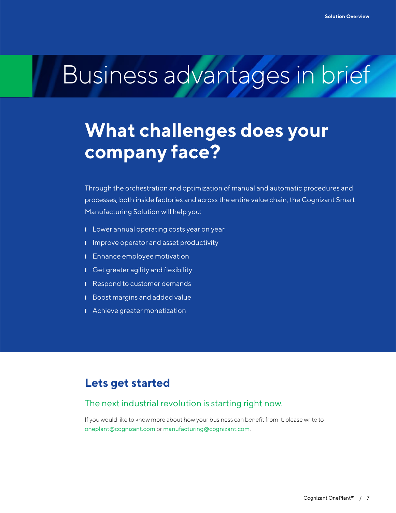## Business advantages in brief

## **What challenges does your company face?**

Through the orchestration and optimization of manual and automatic procedures and processes, both inside factories and across the entire value chain, the Cognizant Smart Manufacturing Solution will help you:

- **I** Lower annual operating costs year on year
- **I** Improve operator and asset productivity
- **I** Enhance employee motivation
- Get greater agility and flexibility
- **■** Respond to customer demands
- **I** Boost margins and added value
- **■** Achieve greater monetization

## **Lets get started**

#### The next industrial revolution is starting right now.

If you would like to know more about how your business can benefit from it, please write to [oneplant@cognizant.com](mailto:oneplant%40cognizant.com?subject=) or [manufacturing@cognizant.com](mailto:manufacturing%40cognizant.com?subject=).